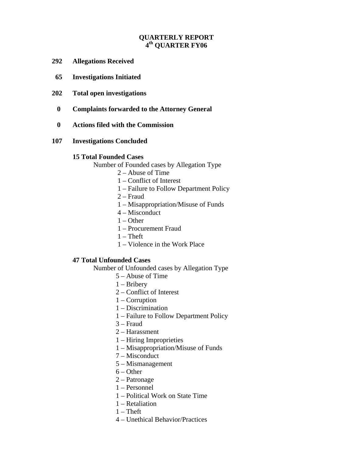## **QUARTERLY REPORT 4th QUARTER FY06**

- **292 Allegations Received**
- **65 Investigations Initiated**
- **202 Total open investigations** 
	- **0 Complaints forwarded to the Attorney General**
	- **0 Actions filed with the Commission**
- **107 Investigations Concluded**

#### **15 Total Founded Cases**

Number of Founded cases by Allegation Type

- 2 Abuse of Time
- 1 Conflict of Interest
- 1 Failure to Follow Department Policy
- 2 Fraud
- 1 Misappropriation/Misuse of Funds
- 4 Misconduct
- $1 Other$
- 1 Procurement Fraud
- $1$  Theft
- 1 Violence in the Work Place

### **47 Total Unfounded Cases**

Number of Unfounded cases by Allegation Type

- 5 Abuse of Time
- 1 Bribery
- 2 Conflict of Interest
- 1 Corruption
- 1 Discrimination
- 1 Failure to Follow Department Policy
- 3 Fraud
- 2 Harassment
- 1 Hiring Improprieties
- 1 Misappropriation/Misuse of Funds
- 7 Misconduct
- 5 Mismanagement
- 6 Other
- 2 Patronage
- 1 Personnel
- 1 Political Work on State Time
- 1 Retaliation
- $1 Theft$
- 4 Unethical Behavior/Practices